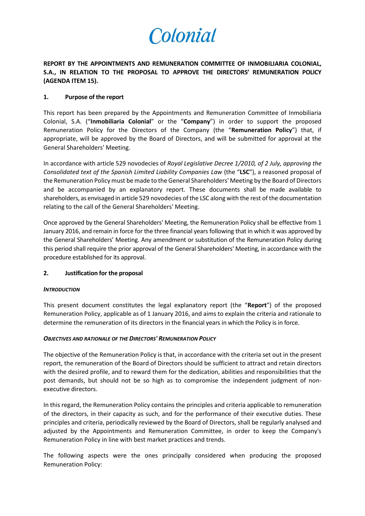

**REPORT BY THE APPOINTMENTS AND REMUNERATION COMMITTEE OF INMOBILIARIA COLONIAL, S.A., IN RELATION TO THE PROPOSAL TO APPROVE THE DIRECTORS' REMUNERATION POLICY (AGENDA ITEM 15).**

# **1. Purpose of the report**

This report has been prepared by the Appointments and Remuneration Committee of Inmobiliaria Colonial, S.A. ("**Inmobiliaria Colonial**" or the "**Company**") in order to support the proposed Remuneration Policy for the Directors of the Company (the "**Remuneration Policy**") that, if appropriate, will be approved by the Board of Directors, and will be submitted for approval at the General Shareholders' Meeting.

In accordance with article 529 novodecies of *Royal Legislative Decree 1/2010, of 2 July, approving the Consolidated text of the Spanish Limited Liability Companies Law* (the "**LSC**"), a reasoned proposal of the Remuneration Policy must be made to the General Shareholders' Meeting by the Board of Directors and be accompanied by an explanatory report. These documents shall be made available to shareholders, as envisaged in article 529 novodecies of the LSC along with the rest of the documentation relating to the call of the General Shareholders' Meeting.

Once approved by the General Shareholders' Meeting, the Remuneration Policy shall be effective from 1 January 2016, and remain in force for the three financial years following that in which it was approved by the General Shareholders' Meeting. Any amendment or substitution of the Remuneration Policy during this period shall require the prior approval of the General Shareholders' Meeting, in accordance with the procedure established for its approval.

## **2. Justification for the proposal**

## *INTRODUCTION*

This present document constitutes the legal explanatory report (the "**Report**") of the proposed Remuneration Policy, applicable as of 1 January 2016, and aims to explain the criteria and rationale to determine the remuneration of its directors in the financial years in which the Policy is in force.

## *OBJECTIVES AND RATIONALE OF THE DIRECTORS' REMUNERATION POLICY*

The objective of the Remuneration Policy is that, in accordance with the criteria set out in the present report, the remuneration of the Board of Directors should be sufficient to attract and retain directors with the desired profile, and to reward them for the dedication, abilities and responsibilities that the post demands, but should not be so high as to compromise the independent judgment of nonexecutive directors.

In this regard, the Remuneration Policy contains the principles and criteria applicable to remuneration of the directors, in their capacity as such, and for the performance of their executive duties. These principles and criteria, periodically reviewed by the Board of Directors, shall be regularly analysed and adjusted by the Appointments and Remuneration Committee, in order to keep the Company's Remuneration Policy in line with best market practices and trends.

The following aspects were the ones principally considered when producing the proposed Remuneration Policy: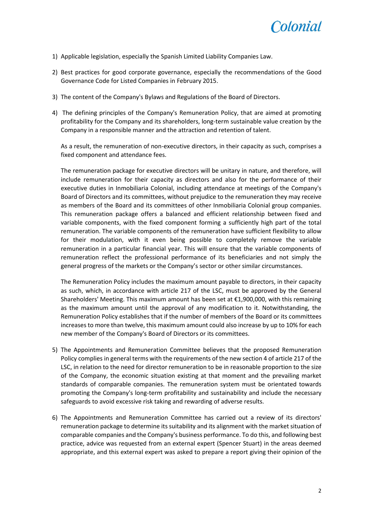

- 1) Applicable legislation, especially the Spanish Limited Liability Companies Law.
- 2) Best practices for good corporate governance, especially the recommendations of the Good Governance Code for Listed Companies in February 2015.
- 3) The content of the Company's Bylaws and Regulations of the Board of Directors.
- 4) The defining principles of the Company's Remuneration Policy, that are aimed at promoting profitability for the Company and its shareholders, long-term sustainable value creation by the Company in a responsible manner and the attraction and retention of talent.

As a result, the remuneration of non-executive directors, in their capacity as such, comprises a fixed component and attendance fees.

The remuneration package for executive directors will be unitary in nature, and therefore, will include remuneration for their capacity as directors and also for the performance of their executive duties in Inmobiliaria Colonial, including attendance at meetings of the Company's Board of Directors and its committees, without prejudice to the remuneration they may receive as members of the Board and its committees of other Inmobiliaria Colonial group companies. This remuneration package offers a balanced and efficient relationship between fixed and variable components, with the fixed component forming a sufficiently high part of the total remuneration. The variable components of the remuneration have sufficient flexibility to allow for their modulation, with it even being possible to completely remove the variable remuneration in a particular financial year. This will ensure that the variable components of remuneration reflect the professional performance of its beneficiaries and not simply the general progress of the markets or the Company's sector or other similar circumstances.

The Remuneration Policy includes the maximum amount payable to directors, in their capacity as such, which, in accordance with article 217 of the LSC, must be approved by the General Shareholders' Meeting. This maximum amount has been set at €1,900,000, with this remaining as the maximum amount until the approval of any modification to it. Notwithstanding, the Remuneration Policy establishes that if the number of members of the Board or its committees increases to more than twelve, this maximum amount could also increase by up to 10% for each new member of the Company's Board of Directors or its committees.

- 5) The Appointments and Remuneration Committee believes that the proposed Remuneration Policy complies in general terms with the requirements of the new section 4 of article 217 of the LSC, in relation to the need for director remuneration to be in reasonable proportion to the size of the Company, the economic situation existing at that moment and the prevailing market standards of comparable companies. The remuneration system must be orientated towards promoting the Company's long-term profitability and sustainability and include the necessary safeguards to avoid excessive risk taking and rewarding of adverse results.
- 6) The Appointments and Remuneration Committee has carried out a review of its directors' remuneration package to determine its suitability and its alignment with the market situation of comparable companies and the Company's business performance. To do this, and following best practice, advice was requested from an external expert (Spencer Stuart) in the areas deemed appropriate, and this external expert was asked to prepare a report giving their opinion of the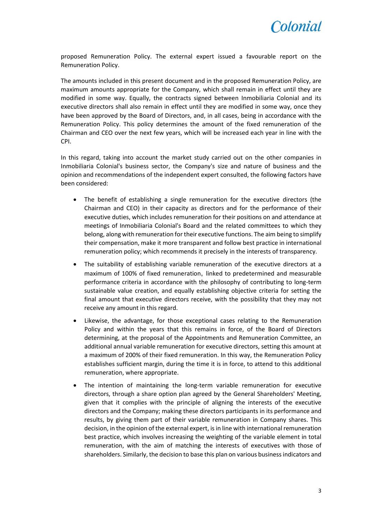

proposed Remuneration Policy. The external expert issued a favourable report on the Remuneration Policy.

The amounts included in this present document and in the proposed Remuneration Policy, are maximum amounts appropriate for the Company, which shall remain in effect until they are modified in some way. Equally, the contracts signed between Inmobiliaria Colonial and its executive directors shall also remain in effect until they are modified in some way, once they have been approved by the Board of Directors, and, in all cases, being in accordance with the Remuneration Policy. This policy determines the amount of the fixed remuneration of the Chairman and CEO over the next few years, which will be increased each year in line with the CPI.

In this regard, taking into account the market study carried out on the other companies in Inmobiliaria Colonial's business sector, the Company's size and nature of business and the opinion and recommendations of the independent expert consulted, the following factors have been considered:

- The benefit of establishing a single remuneration for the executive directors (the Chairman and CEO) in their capacity as directors and for the performance of their executive duties, which includes remuneration for their positions on and attendance at meetings of Inmobiliaria Colonial's Board and the related committees to which they belong, along with remuneration for their executive functions. The aim being to simplify their compensation, make it more transparent and follow best practice in international remuneration policy; which recommends it precisely in the interests of transparency.
- The suitability of establishing variable remuneration of the executive directors at a maximum of 100% of fixed remuneration, linked to predetermined and measurable performance criteria in accordance with the philosophy of contributing to long-term sustainable value creation, and equally establishing objective criteria for setting the final amount that executive directors receive, with the possibility that they may not receive any amount in this regard.
- Likewise, the advantage, for those exceptional cases relating to the Remuneration Policy and within the years that this remains in force, of the Board of Directors determining, at the proposal of the Appointments and Remuneration Committee, an additional annual variable remuneration for executive directors, setting this amount at a maximum of 200% of their fixed remuneration. In this way, the Remuneration Policy establishes sufficient margin, during the time it is in force, to attend to this additional remuneration, where appropriate.
- The intention of maintaining the long-term variable remuneration for executive directors, through a share option plan agreed by the General Shareholders' Meeting, given that it complies with the principle of aligning the interests of the executive directors and the Company; making these directors participants in its performance and results, by giving them part of their variable remuneration in Company shares. This decision, in the opinion of the external expert, is in line with international remuneration best practice, which involves increasing the weighting of the variable element in total remuneration, with the aim of matching the interests of executives with those of shareholders. Similarly, the decision to base this plan on various business indicators and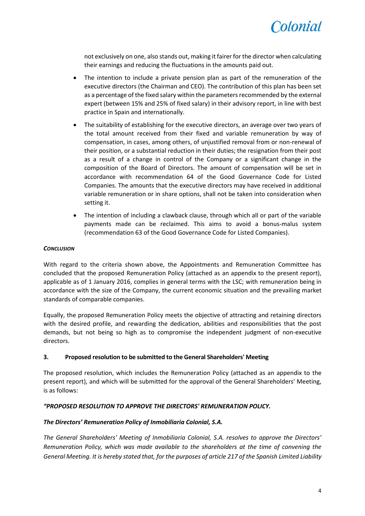

not exclusively on one, also stands out, making it fairer for the director when calculating their earnings and reducing the fluctuations in the amounts paid out.

- The intention to include a private pension plan as part of the remuneration of the executive directors (the Chairman and CEO). The contribution of this plan has been set as a percentage of the fixed salary within the parameters recommended by the external expert (between 15% and 25% of fixed salary) in their advisory report, in line with best practice in Spain and internationally.
- The suitability of establishing for the executive directors, an average over two years of the total amount received from their fixed and variable remuneration by way of compensation, in cases, among others, of unjustified removal from or non-renewal of their position, or a substantial reduction in their duties; the resignation from their post as a result of a change in control of the Company or a significant change in the composition of the Board of Directors. The amount of compensation will be set in accordance with recommendation 64 of the Good Governance Code for Listed Companies. The amounts that the executive directors may have received in additional variable remuneration or in share options, shall not be taken into consideration when setting it.
- The intention of including a clawback clause, through which all or part of the variable payments made can be reclaimed. This aims to avoid a bonus-malus system (recommendation 63 of the Good Governance Code for Listed Companies).

## *CONCLUSION*

With regard to the criteria shown above, the Appointments and Remuneration Committee has concluded that the proposed Remuneration Policy (attached as an appendix to the present report), applicable as of 1 January 2016, complies in general terms with the LSC; with remuneration being in accordance with the size of the Company, the current economic situation and the prevailing market standards of comparable companies.

Equally, the proposed Remuneration Policy meets the objective of attracting and retaining directors with the desired profile, and rewarding the dedication, abilities and responsibilities that the post demands, but not being so high as to compromise the independent judgment of non-executive directors.

## **3. Proposed resolution to be submitted to the General Shareholders' Meeting**

The proposed resolution, which includes the Remuneration Policy (attached as an appendix to the present report), and which will be submitted for the approval of the General Shareholders' Meeting, is as follows:

## *"PROPOSED RESOLUTION TO APPROVE THE DIRECTORS' REMUNERATION POLICY.*

## *The Directors' Remuneration Policy of Inmobiliaria Colonial, S.A.*

*The General Shareholders' Meeting of Inmobiliaria Colonial, S.A. resolves to approve the Directors' Remuneration Policy, which was made available to the shareholders at the time of convening the General Meeting. It is hereby stated that, for the purposes of article 217 of the Spanish Limited Liability*